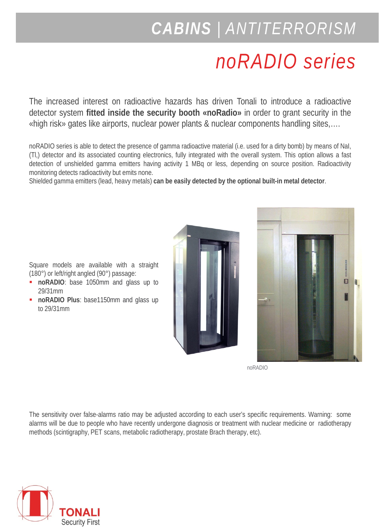## *CABINS | ANTITERRORISM*

# *noRADIO series*

The increased interest on radioactive hazards has driven Tonali to introduce a radioactive detector system **fitted inside the security booth «noRadio»** in order to grant security in the «high risk» gates like airports, nuclear power plants & nuclear components handling sites,….

noRADIO series is able to detect the presence of gamma radioactive material (i.e. used for a dirty bomb) by means of NaI, (Tl,) detector and its associated counting electronics, fully integrated with the overall system. This option allows a fast detection of unshielded gamma emitters having activity 1 MBq or less, depending on source position. Radioactivity monitoring detects radioactivity but emits none.

Shielded gamma emitters (lead, heavy metals) **can be easily detected by the optional built-in metal detector**.





noRADIO

The sensitivity over false-alarms ratio may be adjusted according to each user's specific requirements. Warning: some alarms will be due to people who have recently undergone diagnosis or treatment with nuclear medicine or radiotherapy methods (scintigraphy, PET scans, metabolic radiotherapy, prostate Brach therapy, etc).



Square models are available with a straight (180°) or left/right angled (90°) passage:

- **noRADIO**: base 1050mm and glass up to 29/31mm
- **noRADIO Plus**: base1150mm and glass up to 29/31mm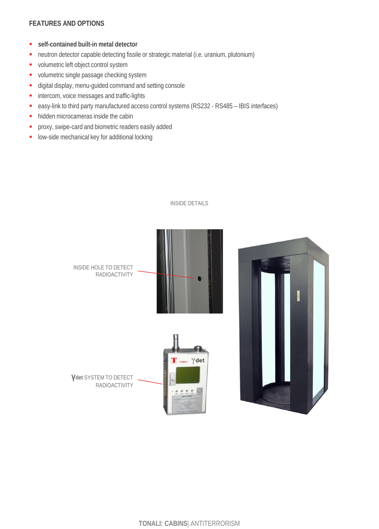### **FEATURES AND OPTIONS**

- **self-contained built-in metal detector**
- neutron detector capable detecting fissile or strategic material (i.e. uranium, plutonium)
- **volumetric left object control system**
- volumetric single passage checking system
- digital display, menu-guided command and setting console
- **intercom**, voice messages and traffic-lights
- easy-link to third party manufactured access control systems (RS232 RS485 IBIS interfaces)
- hidden microcameras inside the cabin
- **P** proxy, swipe-card and biometric readers easily added
- **-** low-side mechanical key for additional locking



#### INSIDE DETAILS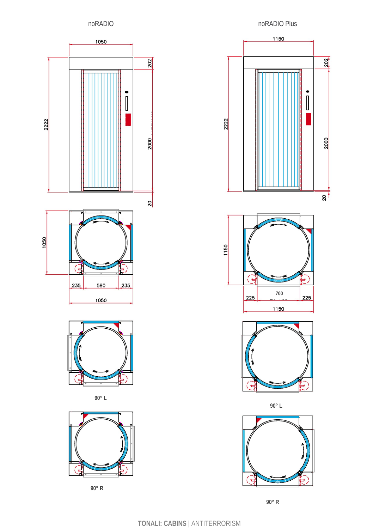







 $90^\circ$  R

noRADIO Plus